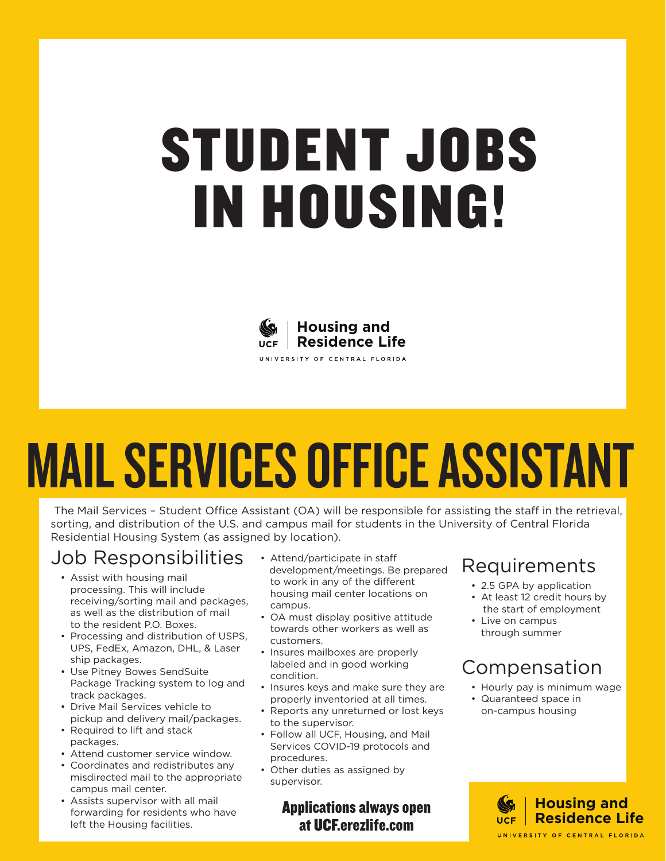### STUDENT JOBS IN HOUSING!



### MAIL SERVICES OFFICE ASSISTANT

The Mail Services – Student Office Assistant (OA) will be responsible for assisting the staff in the retrieval, sorting, and distribution of the U.S. and campus mail for students in the University of Central Florida Residential Housing System (as assigned by location).

#### Job Responsibilities

- Assist with housing mail processing. This will include receiving/sorting mail and packages, as well as the distribution of mail to the resident P.O. Boxes.
- Processing and distribution of USPS, UPS, FedEx, Amazon, DHL, & Laser ship packages.
- Use Pitney Bowes SendSuite Package Tracking system to log and track packages.
- Drive Mail Services vehicle to pickup and delivery mail/packages.
- Required to lift and stack packages.
- Attend customer service window.
- Coordinates and redistributes any misdirected mail to the appropriate campus mail center.
- Assists supervisor with all mail forwarding for residents who have left the Housing facilities.
- Attend/participate in staff development/meetings. Be prepared to work in any of the different housing mail center locations on campus.
- OA must display positive attitude towards other workers as well as customers.
- Insures mailboxes are properly labeled and in good working condition.
- Insures keys and make sure they are properly inventoried at all times.
- Reports any unreturned or lost keys to the supervisor.
- Follow all UCF, Housing, and Mail Services COVID-19 protocols and procedures.
- Other duties as assigned by supervisor.

Applications always open at UCF.erezlife.com

#### Requirements

- 2.5 GPA by application
- At least 12 credit hours by the start of employment
- Live on campus through summer

#### Compensation

- Hourly pay is minimum wage
- Quaranteed space in on-campus housing

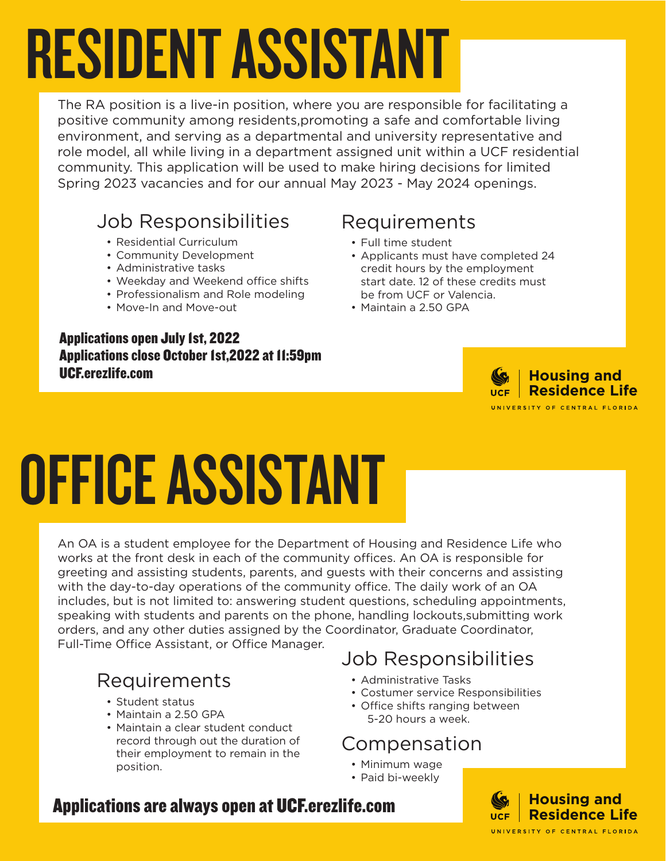## RESIDENT ASSISTANT

The RA position is a live-in position, where you are responsible for facilitating a positive community among residents,promoting a safe and comfortable living environment, and serving as a departmental and university representative and role model, all while living in a department assigned unit within a UCF residential community. This application will be used to make hiring decisions for limited Spring 2023 vacancies and for our annual May 2023 - May 2024 openings.

#### Job Responsibilities

- Residential Curriculum
- Community Development
- Administrative tasks
- Weekday and Weekend office shifts
- Professionalism and Role modeling
- Move-In and Move-out

#### Applications open July 1st, 2022 Applications close October 1st,2022 at 11:59pm UCF.erezlife.com

#### Requirements

- Full time student
- Applicants must have completed 24 credit hours by the employment start date. 12 of these credits must be from UCF or Valencia.
- Maintain a 2.50 GPA



## OFFICE ASSISTANT

An OA is a student employee for the Department of Housing and Residence Life who works at the front desk in each of the community offices. An OA is responsible for greeting and assisting students, parents, and guests with their concerns and assisting with the day-to-day operations of the community office. The daily work of an OA includes, but is not limited to: answering student questions, scheduling appointments, speaking with students and parents on the phone, handling lockouts,submitting work orders, and any other duties assigned by the Coordinator, Graduate Coordinator, Full-Time Office Assistant, or Office Manager.

### Requirements

- Student status
- Maintain a 2.50 GPA
- Maintain a clear student conduct record through out the duration of their employment to remain in the position.

#### Job Responsibilities

- Administrative Tasks
- Costumer service Responsibilities
- Office shifts ranging between 5-20 hours a week.

#### Compensation

- Minimum wage
- Paid bi-weekly

#### Applications are always open at UCF.erezlife.com